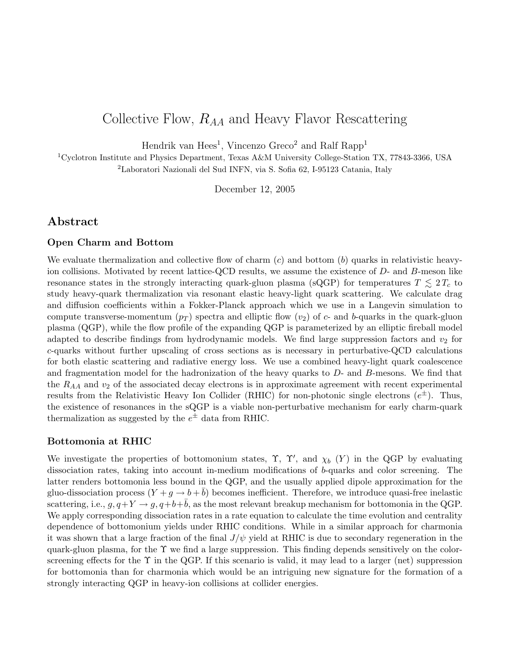### Collective Flow,  $R_{AA}$  and Heavy Flavor Rescattering

Hendrik van Hees<sup>1</sup>, Vincenzo Greco<sup>2</sup> and Ralf Rapp<sup>1</sup>

<sup>1</sup>Cyclotron Institute and Physics Department, Texas A&M University College-Station TX, 77843-3366, USA <sup>2</sup>Laboratori Nazionali del Sud INFN, via S. Sofia 62, I-95123 Catania, Italy

December 12, 2005

#### Abstract

#### Open Charm and Bottom

We evaluate thermalization and collective flow of charm  $(c)$  and bottom  $(b)$  quarks in relativistic heavyion collisions. Motivated by recent lattice-QCD results, we assume the existence of D- and B-meson like resonance states in the strongly interacting quark-gluon plasma (sQGP) for temperatures  $T \lesssim 2 T_c$  to study heavy-quark thermalization via resonant elastic heavy-light quark scattering. We calculate drag and diffusion coefficients within a Fokker-Planck approach which we use in a Langevin simulation to compute transverse-momentum  $(p_T)$  spectra and elliptic flow  $(v_2)$  of c- and b-quarks in the quark-gluon plasma (QGP), while the flow profile of the expanding QGP is parameterized by an elliptic fireball model adapted to describe findings from hydrodynamic models. We find large suppression factors and  $v_2$  for c-quarks without further upscaling of cross sections as is necessary in perturbative-QCD calculations for both elastic scattering and radiative energy loss. We use a combined heavy-light quark coalescence and fragmentation model for the hadronization of the heavy quarks to  $D$ - and  $B$ -mesons. We find that the  $R_{AA}$  and  $v_2$  of the associated decay electrons is in approximate agreement with recent experimental results from the Relativistic Heavy Ion Collider (RHIC) for non-photonic single electrons  $(e^{\pm})$ . Thus, the existence of resonances in the sQGP is a viable non-perturbative mechanism for early charm-quark thermalization as suggested by the  $e^{\pm}$  data from RHIC.

#### Bottomonia at RHIC

We investigate the properties of bottomonium states,  $\Upsilon$ ,  $\Upsilon'$ , and  $\chi_b$  (Y) in the QGP by evaluating dissociation rates, taking into account in-medium modifications of b-quarks and color screening. The latter renders bottomonia less bound in the QGP, and the usually applied dipole approximation for the gluo-dissociation process  $(Y + g \rightarrow b + \bar{b})$  becomes inefficient. Therefore, we introduce quasi-free inelastic scattering, i.e.,  $g, q+Y \rightarrow g, q+b+\overline{b}$ , as the most relevant breakup mechanism for bottomonia in the QGP. We apply corresponding dissociation rates in a rate equation to calculate the time evolution and centrality dependence of bottomonium yields under RHIC conditions. While in a similar approach for charmonia it was shown that a large fraction of the final  $J/\psi$  yield at RHIC is due to secondary regeneration in the quark-gluon plasma, for the  $\Upsilon$  we find a large suppression. This finding depends sensitively on the colorscreening effects for the  $\Upsilon$  in the QGP. If this scenario is valid, it may lead to a larger (net) suppression for bottomonia than for charmonia which would be an intriguing new signature for the formation of a strongly interacting QGP in heavy-ion collisions at collider energies.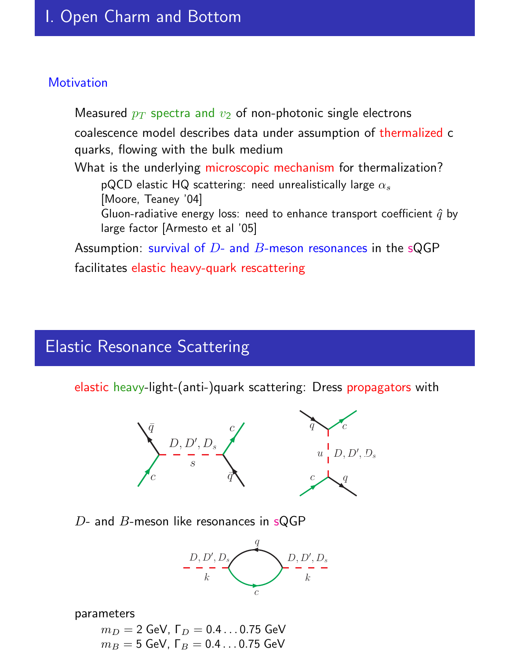### **Motivation**

Measured  $p_T$  spectra and  $v_2$  of non-photonic single electrons coalescence model describes data under assumption of thermalized c quarks, flowing with the bulk medium What is the underlying microscopic mechanism for thermalization? pQCD elastic HQ scattering: need unrealistically large  $\alpha_s$ [Moore, Teaney '04] Gluon-radiative energy loss: need to enhance transport coefficient  $\hat{q}$  by large factor [Armesto et al '05] Assumption: survival of  $D$ - and  $B$ -meson resonances in the sQGP facilitates elastic heavy-quark rescattering

# Elastic Resonance Scattering

elastic heavy-light-(anti-)quark scattering: Dress propagators with



#### $D$ - and  $B$ -meson like resonances in sQGP



#### parameters

 $m_D = 2$  GeV,  $\Gamma_D = 0.4 \dots 0.75$  GeV  $m_B = 5$  GeV, Γ $_B = 0.4 \dots 0.75$  GeV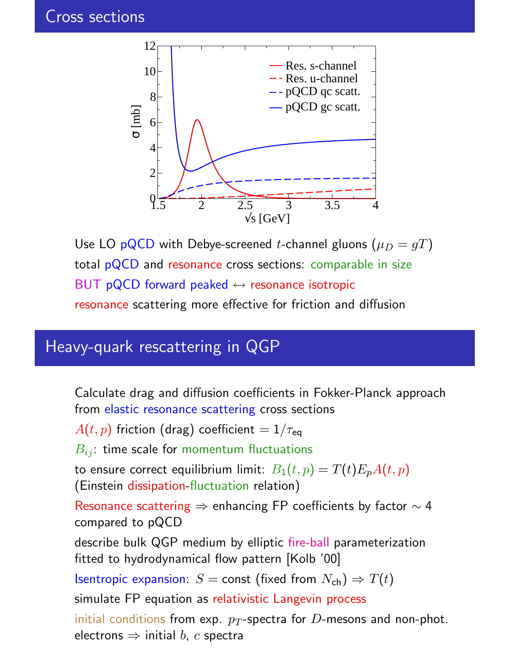

Use LO pQCD with Debye-screened *t*-channel gluons ( $\mu_D = gT$ ) total pQCD and resonance cross sections: comparable in size BUT pQCD forward peaked  $\leftrightarrow$  resonance isotropic resonance scattering more effective for friction and diffusion

### Heavy-quark rescattering in QGP

Calculate drag and diffusion coefficients in Fokker-Planck approach from elastic resonance scattering cross sections

 $A(t, p)$  friction (drag) coefficient  $= 1/\tau_{\text{eq}}$ 

 $B_{ij}$ : time scale for momentum fluctuations

to ensure correct equilibrium limit:  $B_1(t,p) = T(t)E_pA(t,p)$ (Einstein dissipation-fluctuation relation)

Resonance scattering ⇒ enhancing FP coefficients by factor ∼ 4 compared to pQCD

describe bulk QGP medium by elliptic fire-ball parameterization fitted to hydrodynamical flow pattern [Kolb '00]

Isentropic expansion:  $S = \text{const}$  (fixed from  $N_{\text{ch}}$ )  $\Rightarrow T(t)$ 

simulate FP equation as relativistic Langevin process

initial conditions from exp.  $p_T$ -spectra for D-mesons and non-phot. electrons  $\Rightarrow$  initial b, c spectra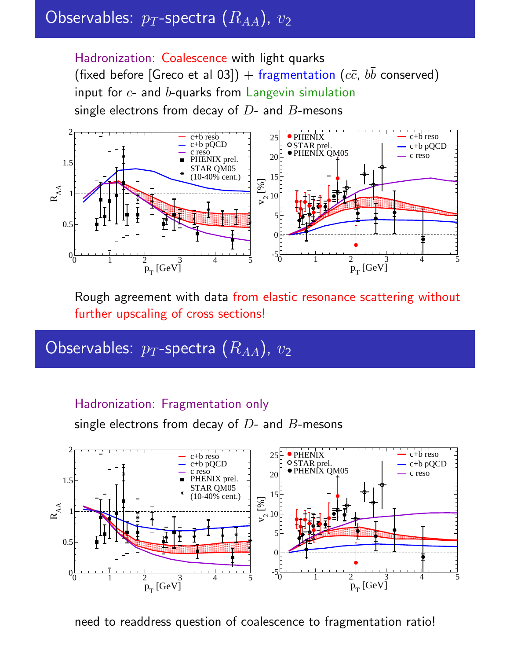# Observables:  $p_T$ -spectra  $(\overline{R_{AA}})$ ,  $v_2$

Hadronization: Coalescence with light quarks (fixed before [Greco et al 03]) + fragmentation ( $c\bar{c}$ ,  $b\bar{b}$  conserved) input for  $c$ - and  $b$ -quarks from Langevin simulation single electrons from decay of  $D$ - and  $B$ -mesons



Rough agreement with data from elastic resonance scattering without further upscaling of cross sections!

# Observables:  $p_T$ -spectra  $(R_{AA})$ ,  $v_2$

### Hadronization: Fragmentation only

single electrons from decay of  $D$ - and  $B$ -mesons



need to readdress question of coalescence to fragmentation ratio!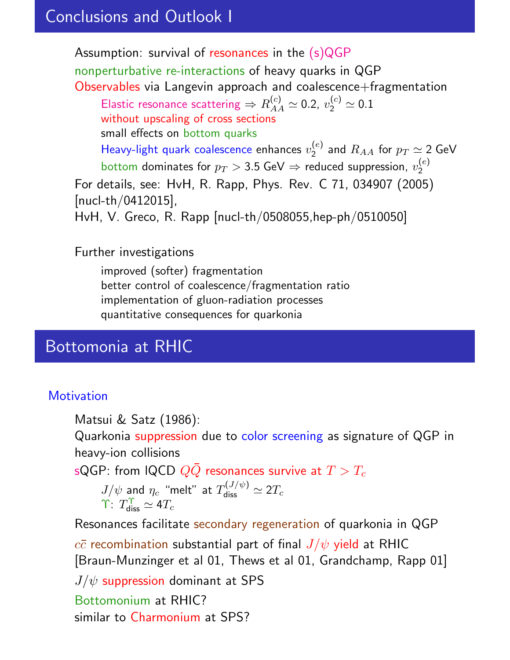## Conclusions and Outlook I

Assumption: survival of resonances in the (s)QGP

nonperturbative re-interactions of heavy quarks in QGP Observables via Langevin approach and coalescence+fragmentation

Elastic resonance scattering  $\Rightarrow$   $R^{(c)}_{AA} \simeq$  0.2,  $v_2^{(c)} \simeq$  0.1 without upscaling of cross sections small effects on bottom quarks Heavy-light quark coalescence enhances  $v_2^{(e)}$  $\mathcal{Q}_2^{(e)}$  and  $R_{AA}$  for  $p_T \simeq$  2 GeV

bottom dominates for  $p_T >$  3.5 GeV  $\Rightarrow$  reduced suppression,  $v_2^{(e)}$ 2

For details, see: HvH, R. Rapp, Phys. Rev. C 71, 034907 (2005) [nucl-th/0412015],

HvH, V. Greco, R. Rapp [nucl-th/0508055,hep-ph/0510050]

Further investigations

improved (softer) fragmentation better control of coalescence/fragmentation ratio implementation of gluon-radiation processes quantitative consequences for quarkonia

# Bottomonia at RHIC

### **Motivation**

Matsui & Satz (1986):

Quarkonia suppression due to color screening as signature of QGP in heavy-ion collisions

sQGP: from IQCD  $Q\bar{Q}$  resonances survive at  $T > T_c$ 

$$
J/\psi
$$
 and  $\eta_c$  "melt" at  $T_{\text{diss}}^{(J/\psi)} \simeq 2T_c$   
\n $\Upsilon$ :  $T_{\text{diss}}^{\Upsilon} \simeq 4T_c$ 

Resonances facilitate secondary regeneration of quarkonia in QGP  $c\bar{c}$  recombination substantial part of final  $J/\psi$  yield at RHIC [Braun-Munzinger et al 01, Thews et al 01, Grandchamp, Rapp 01]  $J/\psi$  suppression dominant at SPS Bottomonium at RHIC? similar to Charmonium at SPS?